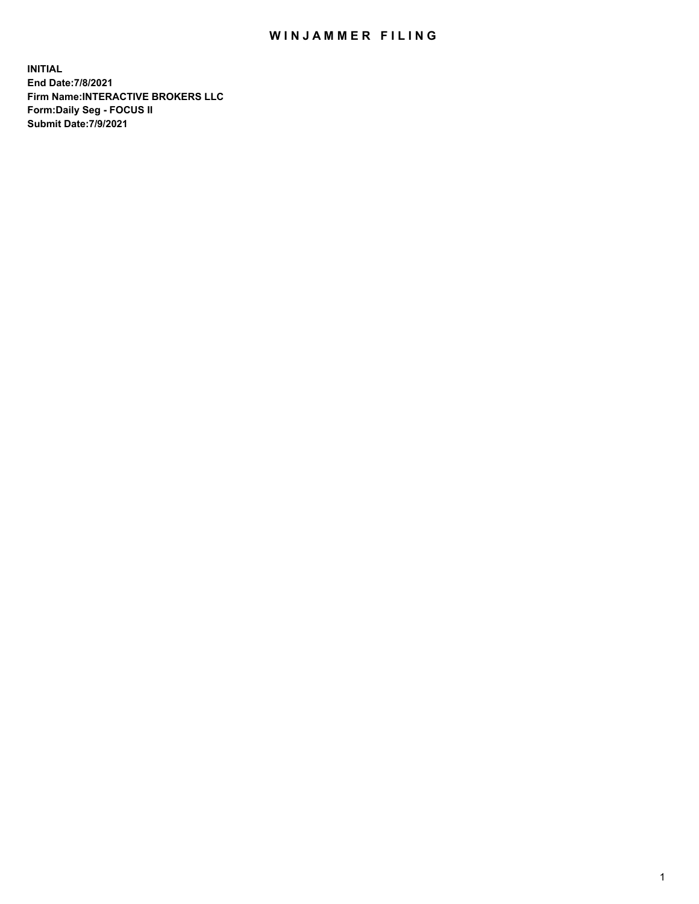## WIN JAMMER FILING

**INITIAL End Date:7/8/2021 Firm Name:INTERACTIVE BROKERS LLC Form:Daily Seg - FOCUS II Submit Date:7/9/2021**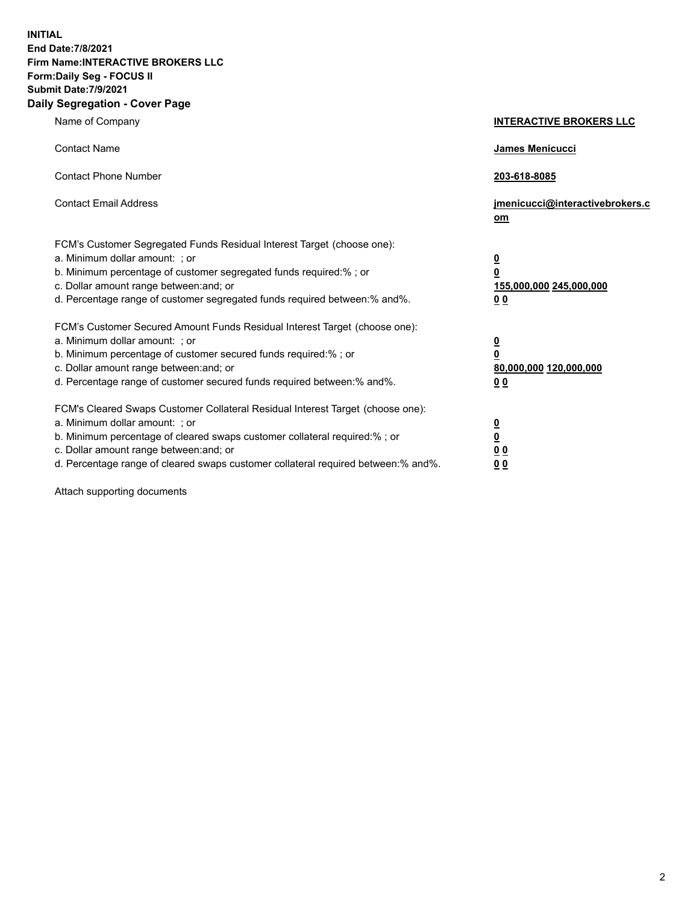**INITIAL End Date:7/8/2021 Firm Name:INTERACTIVE BROKERS LLC Form:Daily Seg - FOCUS II Submit Date:7/9/2021 Daily Segregation - Cover Page**

| Name of Company                                                                                                                                                                                                                                                                                                                | <b>INTERACTIVE BROKERS LLC</b>                                                                  |
|--------------------------------------------------------------------------------------------------------------------------------------------------------------------------------------------------------------------------------------------------------------------------------------------------------------------------------|-------------------------------------------------------------------------------------------------|
| <b>Contact Name</b>                                                                                                                                                                                                                                                                                                            | <b>James Menicucci</b>                                                                          |
| <b>Contact Phone Number</b>                                                                                                                                                                                                                                                                                                    | 203-618-8085                                                                                    |
| <b>Contact Email Address</b>                                                                                                                                                                                                                                                                                                   | jmenicucci@interactivebrokers.c<br>om                                                           |
| FCM's Customer Segregated Funds Residual Interest Target (choose one):<br>a. Minimum dollar amount: ; or<br>b. Minimum percentage of customer segregated funds required:%; or<br>c. Dollar amount range between: and; or<br>d. Percentage range of customer segregated funds required between:% and%.                          | $\overline{\mathbf{0}}$<br>$\overline{\mathbf{0}}$<br>155,000,000 245,000,000<br>0 <sub>0</sub> |
| FCM's Customer Secured Amount Funds Residual Interest Target (choose one):<br>a. Minimum dollar amount: ; or<br>b. Minimum percentage of customer secured funds required:%; or<br>c. Dollar amount range between: and; or<br>d. Percentage range of customer secured funds required between:% and%.                            | $\overline{\mathbf{0}}$<br>$\overline{\mathbf{0}}$<br>80,000,000 120,000,000<br>0 <sub>0</sub>  |
| FCM's Cleared Swaps Customer Collateral Residual Interest Target (choose one):<br>a. Minimum dollar amount: ; or<br>b. Minimum percentage of cleared swaps customer collateral required:% ; or<br>c. Dollar amount range between: and; or<br>d. Percentage range of cleared swaps customer collateral required between:% and%. | $\overline{\mathbf{0}}$<br>$\overline{\mathbf{0}}$<br>0 <sub>0</sub><br>0 <sub>0</sub>          |

Attach supporting documents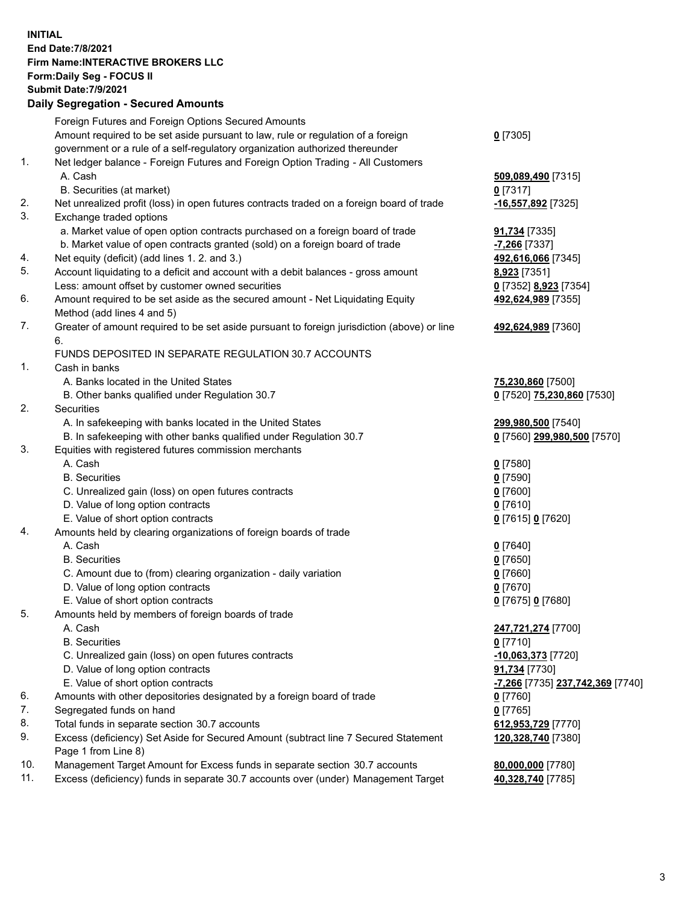**INITIAL End Date:7/8/2021 Firm Name:INTERACTIVE BROKERS LLC Form:Daily Seg - FOCUS II Submit Date:7/9/2021 Daily Segregation - Secured Amounts**

|     | Foreign Futures and Foreign Options Secured Amounts                                               |                                                            |
|-----|---------------------------------------------------------------------------------------------------|------------------------------------------------------------|
|     | Amount required to be set aside pursuant to law, rule or regulation of a foreign                  | $0$ [7305]                                                 |
|     | government or a rule of a self-regulatory organization authorized thereunder                      |                                                            |
| 1.  | Net ledger balance - Foreign Futures and Foreign Option Trading - All Customers                   |                                                            |
|     | A. Cash                                                                                           | 509,089,490 [7315]                                         |
|     | B. Securities (at market)                                                                         | $0$ [7317]                                                 |
| 2.  | Net unrealized profit (loss) in open futures contracts traded on a foreign board of trade         | -16,557,892 <sup>[7325]</sup>                              |
| 3.  | Exchange traded options                                                                           |                                                            |
|     | a. Market value of open option contracts purchased on a foreign board of trade                    | 91,734 [7335]                                              |
|     | b. Market value of open contracts granted (sold) on a foreign board of trade                      | $-7,266$ [7337]                                            |
| 4.  | Net equity (deficit) (add lines 1. 2. and 3.)                                                     | 492,616,066 [7345]                                         |
| 5.  | Account liquidating to a deficit and account with a debit balances - gross amount                 | 8,923 [7351]                                               |
|     | Less: amount offset by customer owned securities                                                  | 0 [7352] 8,923 [7354]                                      |
| 6.  | Amount required to be set aside as the secured amount - Net Liquidating Equity                    | 492,624,989 [7355]                                         |
|     | Method (add lines 4 and 5)                                                                        |                                                            |
| 7.  | Greater of amount required to be set aside pursuant to foreign jurisdiction (above) or line<br>6. | 492,624,989 [7360]                                         |
|     | FUNDS DEPOSITED IN SEPARATE REGULATION 30.7 ACCOUNTS                                              |                                                            |
| 1.  | Cash in banks                                                                                     |                                                            |
|     | A. Banks located in the United States                                                             | 75,230,860 [7500]                                          |
|     | B. Other banks qualified under Regulation 30.7                                                    | 0 [7520] 75,230,860 [7530]                                 |
| 2.  | <b>Securities</b>                                                                                 |                                                            |
|     | A. In safekeeping with banks located in the United States                                         | 299,980,500 [7540]                                         |
|     | B. In safekeeping with other banks qualified under Regulation 30.7                                | 0 [7560] 299,980,500 [7570]                                |
| 3.  | Equities with registered futures commission merchants                                             |                                                            |
|     | A. Cash                                                                                           | $0$ [7580]                                                 |
|     | <b>B.</b> Securities                                                                              | $0$ [7590]                                                 |
|     | C. Unrealized gain (loss) on open futures contracts                                               | $0$ [7600]                                                 |
|     | D. Value of long option contracts                                                                 | $0$ [7610]                                                 |
|     | E. Value of short option contracts                                                                | 0 [7615] 0 [7620]                                          |
| 4.  | Amounts held by clearing organizations of foreign boards of trade                                 |                                                            |
|     | A. Cash                                                                                           | $0$ [7640]                                                 |
|     | <b>B.</b> Securities                                                                              | $0$ [7650]                                                 |
|     | C. Amount due to (from) clearing organization - daily variation                                   | $0$ [7660]                                                 |
|     | D. Value of long option contracts                                                                 | $0$ [7670]                                                 |
|     | E. Value of short option contracts                                                                | 0 [7675] 0 [7680]                                          |
| 5.  | Amounts held by members of foreign boards of trade                                                |                                                            |
|     | A. Cash                                                                                           | 247,721,274 [7700]                                         |
|     | <b>B.</b> Securities                                                                              | $0$ [7710]                                                 |
|     | C. Unrealized gain (loss) on open futures contracts                                               | -10,063,373 [7720]                                         |
|     | D. Value of long option contracts                                                                 | 91,734 [7730]                                              |
|     | E. Value of short option contracts                                                                | <mark>-7,266</mark> [7735] <mark>237,742,369</mark> [7740] |
| 6.  | Amounts with other depositories designated by a foreign board of trade                            | $0$ [7760]                                                 |
| 7.  | Segregated funds on hand                                                                          | $0$ [7765]                                                 |
| 8.  | Total funds in separate section 30.7 accounts                                                     | 612,953,729 [7770]                                         |
| 9.  | Excess (deficiency) Set Aside for Secured Amount (subtract line 7 Secured Statement               | 120,328,740 [7380]                                         |
|     | Page 1 from Line 8)                                                                               |                                                            |
| 10. | Management Target Amount for Excess funds in separate section 30.7 accounts                       | 80,000,000 [7780]                                          |
| 11. | Excess (deficiency) funds in separate 30.7 accounts over (under) Management Target                | 40,328,740 [7785]                                          |
|     |                                                                                                   |                                                            |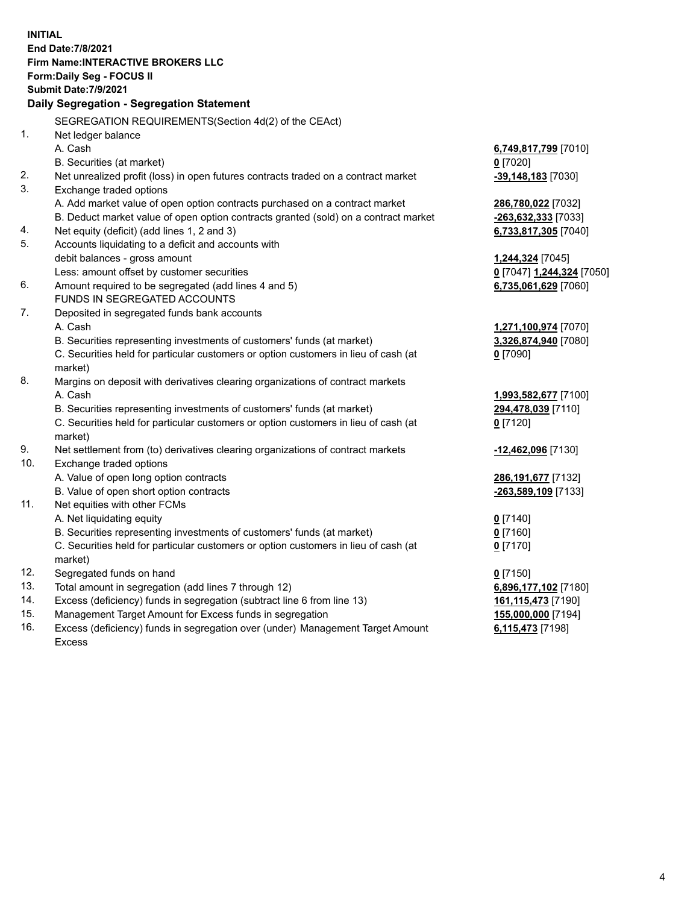**INITIAL End Date:7/8/2021 Firm Name:INTERACTIVE BROKERS LLC Form:Daily Seg - FOCUS II Submit Date:7/9/2021 Daily Segregation - Segregation Statement** SEGREGATION REQUIREMENTS(Section 4d(2) of the CEAct) 1. Net ledger balance A. Cash **6,749,817,799** [7010] B. Securities (at market) **0** [7020] 2. Net unrealized profit (loss) in open futures contracts traded on a contract market **-39,148,183** [7030] 3. Exchange traded options A. Add market value of open option contracts purchased on a contract market **286,780,022** [7032] B. Deduct market value of open option contracts granted (sold) on a contract market **-263,632,333** [7033] 4. Net equity (deficit) (add lines 1, 2 and 3) **6,733,817,305** [7040] 5. Accounts liquidating to a deficit and accounts with debit balances - gross amount **1,244,324** [7045] Less: amount offset by customer securities **0** [7047] **1,244,324** [7050] 6. Amount required to be segregated (add lines 4 and 5) **6,735,061,629** [7060] FUNDS IN SEGREGATED ACCOUNTS 7. Deposited in segregated funds bank accounts A. Cash **1,271,100,974** [7070] B. Securities representing investments of customers' funds (at market) **3,326,874,940** [7080] C. Securities held for particular customers or option customers in lieu of cash (at market) **0** [7090] 8. Margins on deposit with derivatives clearing organizations of contract markets A. Cash **1,993,582,677** [7100] B. Securities representing investments of customers' funds (at market) **294,478,039** [7110] C. Securities held for particular customers or option customers in lieu of cash (at market) **0** [7120] 9. Net settlement from (to) derivatives clearing organizations of contract markets **-12,462,096** [7130] 10. Exchange traded options A. Value of open long option contracts **286,191,677** [7132] B. Value of open short option contracts **-263,589,109** [7133] 11. Net equities with other FCMs A. Net liquidating equity **0** [7140] B. Securities representing investments of customers' funds (at market) **0** [7160] C. Securities held for particular customers or option customers in lieu of cash (at market) **0** [7170] 12. Segregated funds on hand **0** [7150] 13. Total amount in segregation (add lines 7 through 12) **6,896,177,102** [7180] 14. Excess (deficiency) funds in segregation (subtract line 6 from line 13) **161,115,473** [7190] 15. Management Target Amount for Excess funds in segregation **155,000,000** [7194] 16. Excess (deficiency) funds in segregation over (under) Management Target Amount **6,115,473** [7198]

Excess